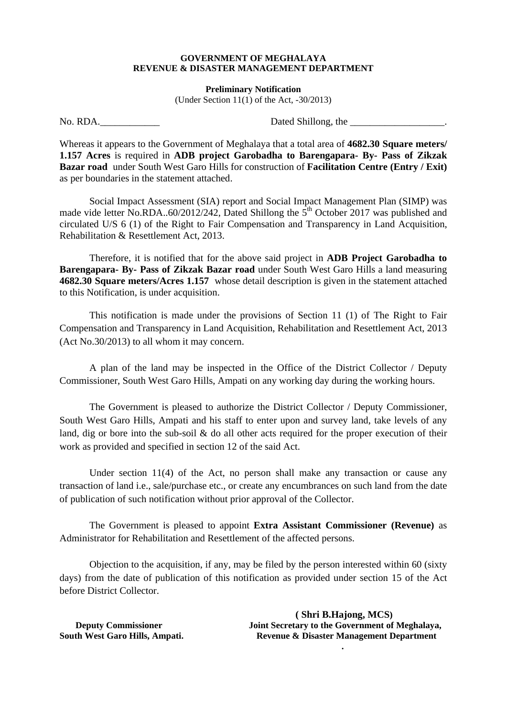## **GOVERNMENT OF MEGHALAYA REVENUE & DISASTER MANAGEMENT DEPARTMENT**

**Preliminary Notification** 

(Under Section  $11(1)$  of the Act,  $-30/2013$ )

No. RDA.\_\_\_\_\_\_\_\_\_\_\_\_ Dated Shillong, the \_\_\_\_\_\_\_\_\_\_\_\_\_\_\_\_\_\_\_.

Whereas it appears to the Government of Meghalaya that a total area of **4682.30 Square meters/ 1.157 Acres** is required in **ADB project Garobadha to Barengapara- By- Pass of Zikzak Bazar road** under South West Garo Hills for construction of **Facilitation Centre (Entry / Exit)** as per boundaries in the statement attached.

 Social Impact Assessment (SIA) report and Social Impact Management Plan (SIMP) was made vide letter No.RDA..60/2012/242, Dated Shillong the  $5<sup>th</sup>$  October 2017 was published and circulated U/S 6 (1) of the Right to Fair Compensation and Transparency in Land Acquisition, Rehabilitation & Resettlement Act, 2013.

 Therefore, it is notified that for the above said project in **ADB Project Garobadha to Barengapara- By- Pass of Zikzak Bazar road** under South West Garo Hills a land measuring **4682.30 Square meters/Acres 1.157** whose detail description is given in the statement attached to this Notification, is under acquisition.

 This notification is made under the provisions of Section 11 (1) of The Right to Fair Compensation and Transparency in Land Acquisition, Rehabilitation and Resettlement Act, 2013 (Act No.30/2013) to all whom it may concern.

 A plan of the land may be inspected in the Office of the District Collector / Deputy Commissioner, South West Garo Hills, Ampati on any working day during the working hours.

 The Government is pleased to authorize the District Collector / Deputy Commissioner, South West Garo Hills, Ampati and his staff to enter upon and survey land, take levels of any land, dig or bore into the sub-soil & do all other acts required for the proper execution of their work as provided and specified in section 12 of the said Act.

 Under section 11(4) of the Act, no person shall make any transaction or cause any transaction of land i.e., sale/purchase etc., or create any encumbrances on such land from the date of publication of such notification without prior approval of the Collector.

 The Government is pleased to appoint **Extra Assistant Commissioner (Revenue)** as Administrator for Rehabilitation and Resettlement of the affected persons.

 Objection to the acquisition, if any, may be filed by the person interested within 60 (sixty days) from the date of publication of this notification as provided under section 15 of the Act before District Collector.

 **( Shri B.Hajong, MCS) Deputy Commissioner** Joint Secretary to the Government of Meghalaya, **South West Garo Hills, Ampati. Revenue & Disaster Management Department .**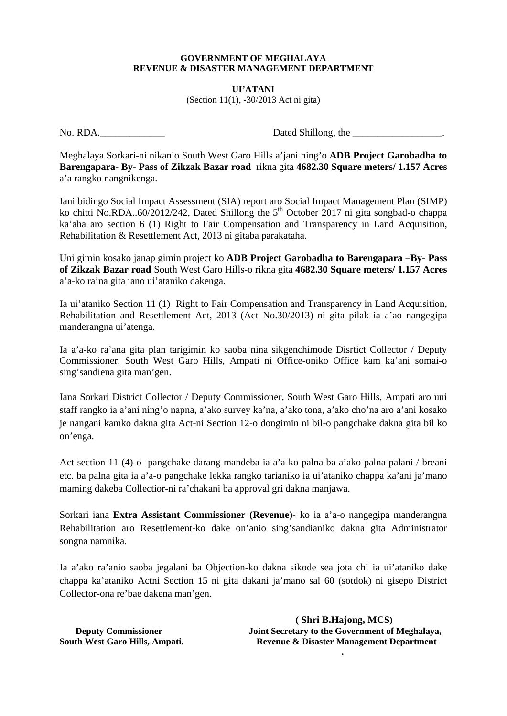## **GOVERNMENT OF MEGHALAYA REVENUE & DISASTER MANAGEMENT DEPARTMENT**

**UI'ATANI**  (Section 11(1), -30/2013 Act ni gita)

No. RDA. Letters and the set of the set of the basic set of the Dated Shillong, the  $\Box$ 

Meghalaya Sorkari-ni nikanio South West Garo Hills a'jani ning'o **ADB Project Garobadha to Barengapara- By- Pass of Zikzak Bazar road** rikna gita **4682.30 Square meters/ 1.157 Acres** a'a rangko nangnikenga.

Iani bidingo Social Impact Assessment (SIA) report aro Social Impact Management Plan (SIMP) ko chitti No.RDA..60/2012/242, Dated Shillong the  $5<sup>th</sup>$  October 2017 ni gita songbad-o chappa ka'aha aro section 6 (1) Right to Fair Compensation and Transparency in Land Acquisition, Rehabilitation & Resettlement Act, 2013 ni gitaba parakataha.

Uni gimin kosako janap gimin project ko **ADB Project Garobadha to Barengapara –By- Pass of Zikzak Bazar road** South West Garo Hills-o rikna gita **4682.30 Square meters/ 1.157 Acres** a'a-ko ra'na gita iano ui'ataniko dakenga.

Ia ui'ataniko Section 11 (1) Right to Fair Compensation and Transparency in Land Acquisition, Rehabilitation and Resettlement Act, 2013 (Act No.30/2013) ni gita pilak ia a'ao nangegipa manderangna ui'atenga.

Ia a'a-ko ra'ana gita plan tarigimin ko saoba nina sikgenchimode Disrtict Collector / Deputy Commissioner, South West Garo Hills, Ampati ni Office-oniko Office kam ka'ani somai-o sing'sandiena gita man'gen.

Iana Sorkari District Collector / Deputy Commissioner, South West Garo Hills, Ampati aro uni staff rangko ia a'ani ning'o napna, a'ako survey ka'na, a'ako tona, a'ako cho'na aro a'ani kosako je nangani kamko dakna gita Act-ni Section 12-o dongimin ni bil-o pangchake dakna gita bil ko on'enga.

Act section 11 (4)-o pangchake darang mandeba ia a'a-ko palna ba a'ako palna palani / breani etc. ba palna gita ia a'a-o pangchake lekka rangko tarianiko ia ui'ataniko chappa ka'ani ja'mano maming dakeba Collectior-ni ra'chakani ba approval gri dakna manjawa.

Sorkari iana **Extra Assistant Commissioner (Revenue)-** ko ia a'a-o nangegipa manderangna Rehabilitation aro Resettlement-ko dake on'anio sing'sandianiko dakna gita Administrator songna namnika.

Ia a'ako ra'anio saoba jegalani ba Objection-ko dakna sikode sea jota chi ia ui'ataniko dake chappa ka'ataniko Actni Section 15 ni gita dakani ja'mano sal 60 (sotdok) ni gisepo District Collector-ona re'bae dakena man'gen.

 **( Shri B.Hajong, MCS) Deputy Commissioner** Joint Secretary to the Government of Meghalaya, **South West Garo Hills, Ampati. Revenue & Disaster Management Department** 

**.**